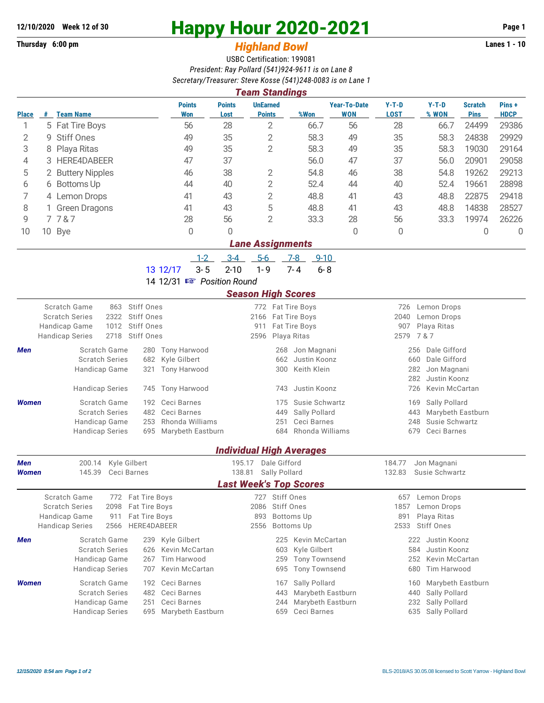## **Thursday 6:00 pm** *Highland Bowl* **Lanes 1 - 10**

## **12/10/2020 Week 12 of 30 Happy Hour 2020-2021 Page 1**

## USBC Certification: 199081 *President: Ray Pollard (541)924-9611 is on Lane 8 Secretary/Treasurer: Steve Kosse (541)248-0083 is on Lane 1*

| <b>Team Standings</b>     |   |                                                                                         |                                |                                                           |                                              |                      |                                   |                                                   |                                       |                               |                      |  |  |
|---------------------------|---|-----------------------------------------------------------------------------------------|--------------------------------|-----------------------------------------------------------|----------------------------------------------|----------------------|-----------------------------------|---------------------------------------------------|---------------------------------------|-------------------------------|----------------------|--|--|
| <b>Place</b>              |   | # Team Name                                                                             | <b>Points</b><br><b>Won</b>    | <b>UnEarned</b><br><b>Points</b><br><b>Points</b><br>Lost |                                              | %Won                 | <b>Year-To-Date</b><br><b>WON</b> | $Y-T-D$<br><b>LOST</b>                            | $Y-T-D$<br>% WON                      | <b>Scratch</b><br><b>Pins</b> | Pins+<br><b>HDCP</b> |  |  |
| 1                         |   | 5 Fat Tire Boys                                                                         | 56                             | $\overline{2}$<br>28                                      |                                              | 66.7                 | 56                                | 28                                                | 66.7                                  | 24499                         | 29386                |  |  |
| $\mathbf{2}$              | 9 | <b>Stiff Ones</b>                                                                       | 49                             | $\overline{2}$<br>35                                      |                                              | 58.3                 | 49                                | 35                                                | 58.3                                  | 24838                         | 29929                |  |  |
| 3                         | 8 | Playa Ritas                                                                             | 49                             | $\overline{2}$<br>35                                      |                                              | 58.3                 | 49                                | 35                                                | 58.3                                  | 19030                         | 29164                |  |  |
| 4                         |   | 3 HERE4DABEER                                                                           | 47                             | 37                                                        |                                              | 56.0<br>47           |                                   | 37                                                | 56.0                                  | 20901                         | 29058                |  |  |
| 5                         |   | 2 Buttery Nipples                                                                       | 46                             | 38<br>2                                                   |                                              | 54.8<br>46           |                                   | 38                                                | 54.8                                  | 19262                         | 29213                |  |  |
| 6                         |   | 6 Bottoms Up                                                                            | 44                             | $\overline{2}$<br>40                                      |                                              | 52.4                 | 44                                | 40                                                | 52.4                                  | 19661                         | 28898                |  |  |
| 7                         |   | 4 Lemon Drops                                                                           | 41                             | $\overline{2}$<br>43                                      |                                              | 48.8                 | 41                                | 43                                                | 48.8                                  | 22875                         | 29418                |  |  |
|                           |   | 1 Green Dragons                                                                         | 41                             | 5<br>43                                                   |                                              | 48.8                 | 41                                | 43                                                | 48.8                                  | 14838                         | 28527                |  |  |
| 8<br>9                    |   | 7787                                                                                    | 28                             | $\overline{2}$<br>56                                      |                                              | 33.3                 | 28                                | 56                                                | 33.3                                  | 19974                         | 26226                |  |  |
|                           |   |                                                                                         |                                |                                                           |                                              |                      |                                   |                                                   |                                       |                               |                      |  |  |
| 10                        |   | 10 Bye                                                                                  | 0                              | 0                                                         |                                              |                      | $\overline{0}$                    | 0                                                 |                                       | 0                             | 0                    |  |  |
|                           |   |                                                                                         | $1 - 2$                        | <b>Lane Assignments</b><br>$3-4$<br>$5-6$                 |                                              | $7-8$<br>$9 - 10$    |                                   |                                                   |                                       |                               |                      |  |  |
|                           |   | 13 12/17                                                                                | $3 - 5$                        | $2 - 10$<br>$1 - 9$                                       |                                              | $7 - 4$<br>$6 - 8$   |                                   |                                                   |                                       |                               |                      |  |  |
| 14 12/31 I Position Round |   |                                                                                         |                                |                                                           |                                              |                      |                                   |                                                   |                                       |                               |                      |  |  |
|                           |   |                                                                                         |                                | <b>Season High Scores</b>                                 |                                              |                      |                                   |                                                   |                                       |                               |                      |  |  |
|                           |   | Scratch Game<br>863 Stiff Ones                                                          |                                |                                                           |                                              | 772 Fat Tire Boys    |                                   |                                                   | 726 Lemon Drops                       |                               |                      |  |  |
|                           |   | <b>Stiff Ones</b><br><b>Scratch Series</b><br>2322                                      |                                |                                                           |                                              | 2166 Fat Tire Boys   |                                   | 2040                                              | Lemon Drops                           |                               |                      |  |  |
|                           |   | Stiff Ones<br>Handicap Game<br>1012                                                     |                                | Fat Tire Boys<br>911                                      |                                              |                      |                                   | 907<br>Playa Ritas                                |                                       |                               |                      |  |  |
|                           |   | 2718 Stiff Ones<br><b>Handicap Series</b>                                               |                                | 2596                                                      |                                              | Playa Ritas          |                                   | 2579                                              | 7 & 7                                 |                               |                      |  |  |
| Men                       |   | Scratch Game<br>280                                                                     | <b>Tony Harwood</b>            |                                                           | 268                                          | Jon Magnani          |                                   | Dale Gifford<br>256                               |                                       |                               |                      |  |  |
|                           |   | <b>Scratch Series</b><br>682                                                            | Kyle Gilbert                   |                                                           |                                              | 662 Justin Koonz     |                                   | 660<br>Dale Gifford                               |                                       |                               |                      |  |  |
|                           |   | Handicap Game<br>321                                                                    | <b>Tony Harwood</b>            |                                                           | 300                                          | Keith Klein          |                                   | 282<br>Jon Magnani<br>282                         |                                       |                               |                      |  |  |
|                           |   |                                                                                         |                                |                                                           |                                              |                      |                                   |                                                   | Justin Koonz                          |                               |                      |  |  |
|                           |   | <b>Handicap Series</b><br>745                                                           | <b>Tony Harwood</b>            |                                                           | 743                                          | Justin Koonz         |                                   | 726<br>Kevin McCartan                             |                                       |                               |                      |  |  |
| <b>Women</b>              |   | Scratch Game<br>192                                                                     | Ceci Barnes                    |                                                           | 175                                          | Susie Schwartz       |                                   | Sally Pollard<br>169                              |                                       |                               |                      |  |  |
|                           |   | <b>Scratch Series</b><br>482                                                            | Ceci Barnes<br>Rhonda Williams |                                                           | 449                                          | Sally Pollard        |                                   | 443<br>Marybeth Eastburn<br>Susie Schwartz<br>248 |                                       |                               |                      |  |  |
|                           |   | Handicap Game<br>253<br><b>Handicap Series</b><br>695                                   | Marybeth Eastburn              |                                                           | 251<br>Ceci Barnes<br>Rhonda Williams<br>684 |                      |                                   |                                                   | 679<br>Ceci Barnes                    |                               |                      |  |  |
|                           |   |                                                                                         |                                |                                                           |                                              |                      |                                   |                                                   |                                       |                               |                      |  |  |
|                           |   |                                                                                         |                                | <b>Individual High Averages</b>                           |                                              |                      |                                   |                                                   |                                       |                               |                      |  |  |
| <b>Men</b>                |   | Kyle Gilbert<br>200.14                                                                  |                                | Dale Gifford<br>195.17                                    |                                              |                      |                                   | 184.77<br>Jon Magnani                             |                                       |                               |                      |  |  |
| <b>Women</b>              |   | 145.39<br>Ceci Barnes                                                                   |                                | Sally Pollard<br>138.81<br><b>Last Week's Top Scores</b>  |                                              |                      |                                   | 132.83<br>Susie Schwartz                          |                                       |                               |                      |  |  |
|                           |   |                                                                                         |                                |                                                           |                                              |                      |                                   |                                                   |                                       |                               |                      |  |  |
|                           |   | Scratch Game<br>Fat Tire Boys<br>772                                                    |                                |                                                           | 727 Stiff Ones                               |                      |                                   | 657                                               | Lemon Drops                           |                               |                      |  |  |
|                           |   | <b>Scratch Series</b><br>2098<br>Fat Tire Boys<br>Handicap Game<br>911<br>Fat Tire Boys | 2086 Stiff Ones                |                                                           |                                              |                      | 1857<br>Lemon Drops               |                                                   |                                       |                               |                      |  |  |
|                           |   | <b>Handicap Series</b><br>2566<br>HERE4DABEER                                           |                                | <b>Bottoms Up</b><br>893<br><b>Bottoms Up</b><br>2556     |                                              |                      |                                   | Playa Ritas<br>891<br><b>Stiff Ones</b><br>2533   |                                       |                               |                      |  |  |
| Men                       |   | Scratch Game<br>239                                                                     | Kyle Gilbert                   |                                                           | 225                                          | Kevin McCartan       |                                   |                                                   | 222<br>Justin Koonz                   |                               |                      |  |  |
|                           |   | <b>Scratch Series</b><br>626                                                            | Kevin McCartan                 |                                                           | 603                                          | Kyle Gilbert         |                                   | 584<br>Justin Koonz                               |                                       |                               |                      |  |  |
|                           |   | Handicap Game<br>267                                                                    | Tim Harwood                    |                                                           | 259                                          | <b>Tony Townsend</b> |                                   | 252<br>Kevin McCartan                             |                                       |                               |                      |  |  |
|                           |   | <b>Handicap Series</b><br>707                                                           | Kevin McCartan                 |                                                           | 695                                          | <b>Tony Townsend</b> |                                   |                                                   | 680<br>Tim Harwood                    |                               |                      |  |  |
| <b>Women</b>              |   | Scratch Game<br>192                                                                     | Ceci Barnes                    |                                                           | 167                                          | Sally Pollard        |                                   |                                                   | Marybeth Eastburn<br>160              |                               |                      |  |  |
|                           |   | <b>Scratch Series</b><br>482                                                            | Ceci Barnes                    |                                                           | 443                                          | Marybeth Eastburn    |                                   | 440                                               |                                       |                               |                      |  |  |
|                           |   | Handicap Game<br>251                                                                    | Ceci Barnes                    |                                                           | 244                                          | Marybeth Eastburn    |                                   |                                                   | Sally Pollard<br>Sally Pollard<br>232 |                               |                      |  |  |
|                           |   | <b>Handicap Series</b>                                                                  | 695 Marybeth Eastburn          |                                                           | 659                                          | Ceci Barnes          |                                   | 635<br>Sally Pollard                              |                                       |                               |                      |  |  |